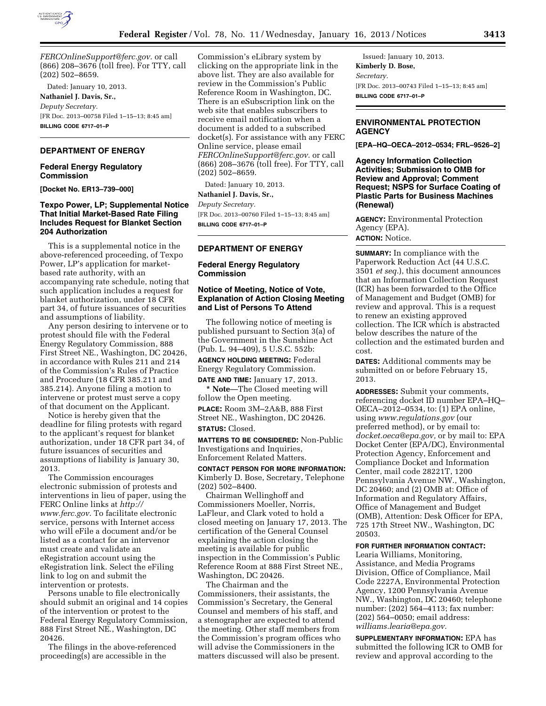

*[FERCOnlineSupport@ferc.gov.](mailto:FERCOnlineSupport@ferc.gov)* or call (866) 208–3676 (toll free). For TTY, call (202) 502–8659.

Dated: January 10, 2013. **Nathaniel J. Davis, Sr.,**  *Deputy Secretary.*  [FR Doc. 2013–00758 Filed 1–15–13; 8:45 am] **BILLING CODE 6717–01–P** 

# **DEPARTMENT OF ENERGY**

#### **Federal Energy Regulatory Commission**

**[Docket No. ER13–739–000]** 

## **Texpo Power, LP; Supplemental Notice That Initial Market-Based Rate Filing Includes Request for Blanket Section 204 Authorization**

This is a supplemental notice in the above-referenced proceeding, of Texpo Power, LP's application for marketbased rate authority, with an accompanying rate schedule, noting that such application includes a request for blanket authorization, under 18 CFR part 34, of future issuances of securities and assumptions of liability.

Any person desiring to intervene or to protest should file with the Federal Energy Regulatory Commission, 888 First Street NE., Washington, DC 20426, in accordance with Rules 211 and 214 of the Commission's Rules of Practice and Procedure (18 CFR 385.211 and 385.214). Anyone filing a motion to intervene or protest must serve a copy of that document on the Applicant.

Notice is hereby given that the deadline for filing protests with regard to the applicant's request for blanket authorization, under 18 CFR part 34, of future issuances of securities and assumptions of liability is January 30, 2013.

The Commission encourages electronic submission of protests and interventions in lieu of paper, using the FERC Online links at *[http://](http://www.ferc.gov)  [www.ferc.gov.](http://www.ferc.gov)* To facilitate electronic service, persons with Internet access who will eFile a document and/or be listed as a contact for an intervenor must create and validate an eRegistration account using the eRegistration link. Select the eFiling link to log on and submit the intervention or protests.

Persons unable to file electronically should submit an original and 14 copies of the intervention or protest to the Federal Energy Regulatory Commission, 888 First Street NE., Washington, DC 20426.

The filings in the above-referenced proceeding(s) are accessible in the

Commission's eLibrary system by clicking on the appropriate link in the above list. They are also available for review in the Commission's Public Reference Room in Washington, DC. There is an eSubscription link on the web site that enables subscribers to receive email notification when a document is added to a subscribed docket(s). For assistance with any FERC Online service, please email *[FERCOnlineSupport@ferc.gov.](mailto:FERCOnlineSupport@ferc.gov)* or call (866) 208–3676 (toll free). For TTY, call (202) 502–8659.

Dated: January 10, 2013.

## **Nathaniel J. Davis, Sr.,**

*Deputy Secretary.*  [FR Doc. 2013–00760 Filed 1–15–13; 8:45 am] **BILLING CODE 6717–01–P** 

### **DEPARTMENT OF ENERGY**

**Federal Energy Regulatory Commission** 

### **Notice of Meeting, Notice of Vote, Explanation of Action Closing Meeting and List of Persons To Attend**

The following notice of meeting is published pursuant to Section 3(a) of the Government in the Sunshine Act (Pub. L. 94–409), 5 U.S.C. 552b:

**AGENCY HOLDING MEETING:** Federal Energy Regulatory Commission.

**DATE AND TIME:** January 17, 2013. **\* Note**—The Closed meeting will

follow the Open meeting.

**PLACE:** Room 3M–2A&B, 888 First Street NE., Washington, DC 20426. **STATUS:** Closed.

**MATTERS TO BE CONSIDERED:** Non-Public Investigations and Inquiries, Enforcement Related Matters.

**CONTACT PERSON FOR MORE INFORMATION:**  Kimberly D. Bose, Secretary, Telephone (202) 502–8400.

Chairman Wellinghoff and Commissioners Moeller, Norris, LaFleur, and Clark voted to hold a closed meeting on January 17, 2013. The certification of the General Counsel explaining the action closing the meeting is available for public inspection in the Commission's Public Reference Room at 888 First Street NE., Washington, DC 20426.

The Chairman and the Commissioners, their assistants, the Commission's Secretary, the General Counsel and members of his staff, and a stenographer are expected to attend the meeting. Other staff members from the Commission's program offices who will advise the Commissioners in the matters discussed will also be present.

Issued: January 10, 2013. **Kimberly D. Bose,**  *Secretary.*  [FR Doc. 2013–00743 Filed 1–15–13; 8:45 am] **BILLING CODE 6717–01–P** 

# **ENVIRONMENTAL PROTECTION AGENCY**

**[EPA–HQ–OECA–2012–0534; FRL–9526–2]** 

**Agency Information Collection Activities; Submission to OMB for Review and Approval; Comment Request; NSPS for Surface Coating of Plastic Parts for Business Machines (Renewal)** 

**AGENCY:** Environmental Protection Agency (EPA). **ACTION:** Notice.

**SUMMARY:** In compliance with the Paperwork Reduction Act (44 U.S.C. 3501 *et seq.*), this document announces that an Information Collection Request (ICR) has been forwarded to the Office of Management and Budget (OMB) for review and approval. This is a request to renew an existing approved collection. The ICR which is abstracted below describes the nature of the collection and the estimated burden and cost.

**DATES:** Additional comments may be submitted on or before February 15, 2013.

**ADDRESSES:** Submit your comments, referencing docket ID number EPA–HQ– OECA–2012–0534, to: (1) EPA online, using *[www.regulations.gov](http://www.regulations.gov)* (our preferred method), or by email to: *[docket.oeca@epa.gov,](mailto:docket.oeca@epa.gov)* or by mail to: EPA Docket Center (EPA/DC), Environmental Protection Agency, Enforcement and Compliance Docket and Information Center, mail code 28221T, 1200 Pennsylvania Avenue NW., Washington, DC 20460; and (2) OMB at: Office of Information and Regulatory Affairs, Office of Management and Budget (OMB), Attention: Desk Officer for EPA, 725 17th Street NW., Washington, DC 20503.

### **FOR FURTHER INFORMATION CONTACT:**

Learia Williams, Monitoring, Assistance, and Media Programs Division, Office of Compliance, Mail Code 2227A, Environmental Protection Agency, 1200 Pennsylvania Avenue NW., Washington, DC 20460; telephone number: (202) 564–4113; fax number: (202) 564–0050; email address: *[williams.learia@epa.gov.](mailto:williams.learia@epa.gov)* 

**SUPPLEMENTARY INFORMATION:** EPA has submitted the following ICR to OMB for review and approval according to the